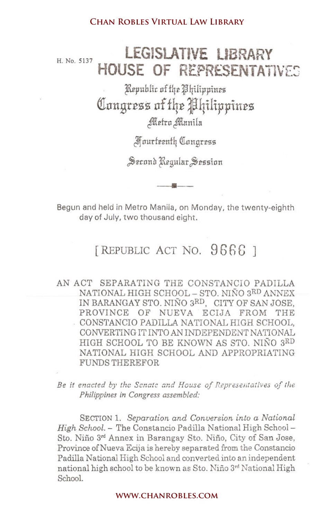## H. No. 5137 **lEGISLATIVE l.IBRARY HOUSE OF REPRESENTATIVES**

Kepublic of the *Philippines* Congress of the Philippines Metro Manila

~1Jurfeenfq QInngr:e55

Serond Regular Session

Begun and held in Metro Manila, on Monday, the twenty-eighth day of July, two thousand eight.

•

## [REPUBLIC ACT NO. 9666]

AN ACT SEPARATING THE CONSTANCIO PADILLA NATIONAL HIGH SCHOOL - STO. NIÑO 3RD ANNEX IN BARANGAY STO. NINO SRD, CITY OF SAN JOSE, PROVINCE OF NUEVA ECIJA FROM THE . CONSTANCIO PADILLA NATIONAL HIGH SCHOOL, CONVERTING IT INTO AN INDEPENDENT NATIONAL HIGH SCHOOL TO BE KNOWN AS STO. NINO SRD NATIONAL HIGH SCHOOL AND APPROPRIATING FUNDS THEREFOR **Chan Robles Virtual Law Library www.chanrobles.com** 

Be it enacted by the Senate and House of Representatives of the *Philippines in Congress assembled:*

SECTION 1. *Separation and Conversion into a National High School.* - The Constancio Padilla National High School-Sto. Niño 3<sup>rd</sup> Annex in Barangay Sto. Niño, City of San Jose, Province of Nueva Ecija is hereby separated from the Constancio Padilla National High School and converted into an independent national high school to be known as Sto. Nino 3rd National High School.